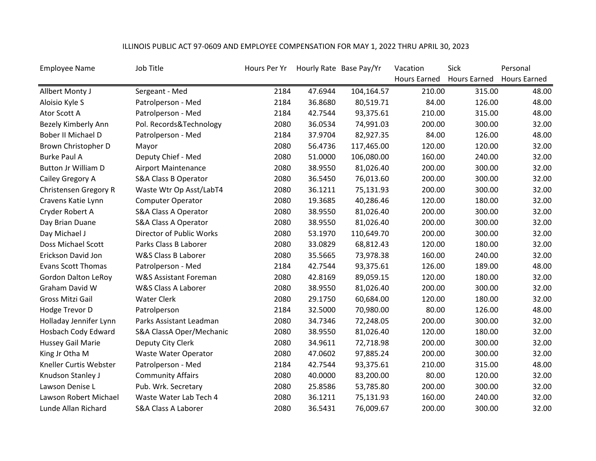| <b>Employee Name</b>       | Job Title                       | Hours Per Yr |         | Hourly Rate Base Pay/Yr | Vacation            | <b>Sick</b>         | Personal            |
|----------------------------|---------------------------------|--------------|---------|-------------------------|---------------------|---------------------|---------------------|
|                            |                                 |              |         |                         | <b>Hours Earned</b> | <b>Hours Earned</b> | <b>Hours Earned</b> |
| Allbert Monty J            | Sergeant - Med                  | 2184         | 47.6944 | 104,164.57              | 210.00              | 315.00              | 48.00               |
| Aloisio Kyle S             | Patrolperson - Med              | 2184         | 36.8680 | 80,519.71               | 84.00               | 126.00              | 48.00               |
| Ator Scott A               | Patrolperson - Med              | 2184         | 42.7544 | 93,375.61               | 210.00              | 315.00              | 48.00               |
| Bezely Kimberly Ann        | Pol. Records&Technology         | 2080         | 36.0534 | 74,991.03               | 200.00              | 300.00              | 32.00               |
| Bober II Michael D         | Patrolperson - Med              | 2184         | 37.9704 | 82,927.35               | 84.00               | 126.00              | 48.00               |
| Brown Christopher D        | Mayor                           | 2080         | 56.4736 | 117,465.00              | 120.00              | 120.00              | 32.00               |
| <b>Burke Paul A</b>        | Deputy Chief - Med              | 2080         | 51.0000 | 106,080.00              | 160.00              | 240.00              | 32.00               |
| <b>Button Jr William D</b> | <b>Airport Maintenance</b>      | 2080         | 38.9550 | 81,026.40               | 200.00              | 300.00              | 32.00               |
| Cailey Gregory A           | <b>S&amp;A Class B Operator</b> | 2080         | 36.5450 | 76,013.60               | 200.00              | 300.00              | 32.00               |
| Christensen Gregory R      | Waste Wtr Op Asst/LabT4         | 2080         | 36.1211 | 75,131.93               | 200.00              | 300.00              | 32.00               |
| Cravens Katie Lynn         | <b>Computer Operator</b>        | 2080         | 19.3685 | 40,286.46               | 120.00              | 180.00              | 32.00               |
| Cryder Robert A            | <b>S&amp;A Class A Operator</b> | 2080         | 38.9550 | 81,026.40               | 200.00              | 300.00              | 32.00               |
| Day Brian Duane            | <b>S&amp;A Class A Operator</b> | 2080         | 38.9550 | 81,026.40               | 200.00              | 300.00              | 32.00               |
| Day Michael J              | <b>Director of Public Works</b> | 2080         | 53.1970 | 110,649.70              | 200.00              | 300.00              | 32.00               |
| Doss Michael Scott         | Parks Class B Laborer           | 2080         | 33.0829 | 68,812.43               | 120.00              | 180.00              | 32.00               |
| Erickson David Jon         | W&S Class B Laborer             | 2080         | 35.5665 | 73,978.38               | 160.00              | 240.00              | 32.00               |
| <b>Evans Scott Thomas</b>  | Patrolperson - Med              | 2184         | 42.7544 | 93,375.61               | 126.00              | 189.00              | 48.00               |
| <b>Gordon Dalton LeRoy</b> | W&S Assistant Foreman           | 2080         | 42.8169 | 89,059.15               | 120.00              | 180.00              | 32.00               |
| Graham David W             | W&S Class A Laborer             | 2080         | 38.9550 | 81,026.40               | 200.00              | 300.00              | 32.00               |
| <b>Gross Mitzi Gail</b>    | <b>Water Clerk</b>              | 2080         | 29.1750 | 60,684.00               | 120.00              | 180.00              | 32.00               |
| Hodge Trevor D             | Patrolperson                    | 2184         | 32.5000 | 70,980.00               | 80.00               | 126.00              | 48.00               |
| Holladay Jennifer Lynn     | Parks Assistant Leadman         | 2080         | 34.7346 | 72,248.05               | 200.00              | 300.00              | 32.00               |
| Hosbach Cody Edward        | S&A ClassA Oper/Mechanic        | 2080         | 38.9550 | 81,026.40               | 120.00              | 180.00              | 32.00               |
| <b>Hussey Gail Marie</b>   | Deputy City Clerk               | 2080         | 34.9611 | 72,718.98               | 200.00              | 300.00              | 32.00               |
| King Jr Otha M             | Waste Water Operator            | 2080         | 47.0602 | 97,885.24               | 200.00              | 300.00              | 32.00               |
| Kneller Curtis Webster     | Patrolperson - Med              | 2184         | 42.7544 | 93,375.61               | 210.00              | 315.00              | 48.00               |
| Knudson Stanley J          | <b>Community Affairs</b>        | 2080         | 40.0000 | 83,200.00               | 80.00               | 120.00              | 32.00               |
| Lawson Denise L            | Pub. Wrk. Secretary             | 2080         | 25.8586 | 53,785.80               | 200.00              | 300.00              | 32.00               |
| Lawson Robert Michael      | Waste Water Lab Tech 4          | 2080         | 36.1211 | 75,131.93               | 160.00              | 240.00              | 32.00               |
| Lunde Allan Richard        | S&A Class A Laborer             | 2080         | 36.5431 | 76,009.67               | 200.00              | 300.00              | 32.00               |

## ILLINOIS PUBLIC ACT 97-0609 AND EMPLOYEE COMPENSATION FOR MAY 1, 2022 THRU APRIL 30, 2023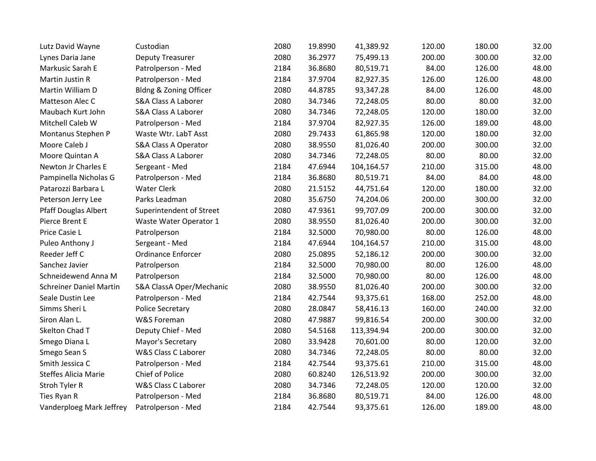| Lutz David Wayne               | Custodian                       | 2080 | 19.8990 | 41,389.92  | 120.00 | 180.00 | 32.00 |
|--------------------------------|---------------------------------|------|---------|------------|--------|--------|-------|
| Lynes Daria Jane               | <b>Deputy Treasurer</b>         | 2080 | 36.2977 | 75,499.13  | 200.00 | 300.00 | 32.00 |
| Markusic Sarah E               | Patrolperson - Med              | 2184 | 36.8680 | 80,519.71  | 84.00  | 126.00 | 48.00 |
| Martin Justin R                | Patrolperson - Med              | 2184 | 37.9704 | 82,927.35  | 126.00 | 126.00 | 48.00 |
| Martin William D               | Bldng & Zoning Officer          | 2080 | 44.8785 | 93,347.28  | 84.00  | 126.00 | 48.00 |
| Matteson Alec C                | <b>S&amp;A Class A Laborer</b>  | 2080 | 34.7346 | 72,248.05  | 80.00  | 80.00  | 32.00 |
| Maubach Kurt John              | <b>S&amp;A Class A Laborer</b>  | 2080 | 34.7346 | 72,248.05  | 120.00 | 180.00 | 32.00 |
| Mitchell Caleb W               | Patrolperson - Med              | 2184 | 37.9704 | 82,927.35  | 126.00 | 189.00 | 48.00 |
| Montanus Stephen P             | Waste Wtr. LabT Asst            | 2080 | 29.7433 | 61,865.98  | 120.00 | 180.00 | 32.00 |
| Moore Caleb J                  | <b>S&amp;A Class A Operator</b> | 2080 | 38.9550 | 81,026.40  | 200.00 | 300.00 | 32.00 |
| Moore Quintan A                | S&A Class A Laborer             | 2080 | 34.7346 | 72,248.05  | 80.00  | 80.00  | 32.00 |
| Newton Jr Charles E            | Sergeant - Med                  | 2184 | 47.6944 | 104,164.57 | 210.00 | 315.00 | 48.00 |
| Pampinella Nicholas G          | Patrolperson - Med              | 2184 | 36.8680 | 80,519.71  | 84.00  | 84.00  | 48.00 |
| Patarozzi Barbara L            | <b>Water Clerk</b>              | 2080 | 21.5152 | 44,751.64  | 120.00 | 180.00 | 32.00 |
| Peterson Jerry Lee             | Parks Leadman                   | 2080 | 35.6750 | 74,204.06  | 200.00 | 300.00 | 32.00 |
| Pfaff Douglas Albert           | Superintendent of Street        | 2080 | 47.9361 | 99,707.09  | 200.00 | 300.00 | 32.00 |
| Pierce Brent E                 | Waste Water Operator 1          | 2080 | 38.9550 | 81,026.40  | 200.00 | 300.00 | 32.00 |
| Price Casie L                  | Patrolperson                    | 2184 | 32.5000 | 70,980.00  | 80.00  | 126.00 | 48.00 |
| Puleo Anthony J                | Sergeant - Med                  | 2184 | 47.6944 | 104,164.57 | 210.00 | 315.00 | 48.00 |
| Reeder Jeff C                  | <b>Ordinance Enforcer</b>       | 2080 | 25.0895 | 52,186.12  | 200.00 | 300.00 | 32.00 |
| Sanchez Javier                 | Patrolperson                    | 2184 | 32.5000 | 70,980.00  | 80.00  | 126.00 | 48.00 |
| Schneidewend Anna M            | Patrolperson                    | 2184 | 32.5000 | 70,980.00  | 80.00  | 126.00 | 48.00 |
| <b>Schreiner Daniel Martin</b> | S&A ClassA Oper/Mechanic        | 2080 | 38.9550 | 81,026.40  | 200.00 | 300.00 | 32.00 |
| Seale Dustin Lee               | Patrolperson - Med              | 2184 | 42.7544 | 93,375.61  | 168.00 | 252.00 | 48.00 |
| Simms Sheri L                  | <b>Police Secretary</b>         | 2080 | 28.0847 | 58,416.13  | 160.00 | 240.00 | 32.00 |
| Siron Alan L.                  | W&S Foreman                     | 2080 | 47.9887 | 99,816.54  | 200.00 | 300.00 | 32.00 |
| Skelton Chad T                 | Deputy Chief - Med              | 2080 | 54.5168 | 113,394.94 | 200.00 | 300.00 | 32.00 |
| Smego Diana L                  | Mayor's Secretary               | 2080 | 33.9428 | 70,601.00  | 80.00  | 120.00 | 32.00 |
| Smego Sean S                   | W&S Class C Laborer             | 2080 | 34.7346 | 72,248.05  | 80.00  | 80.00  | 32.00 |
| Smith Jessica C                | Patrolperson - Med              | 2184 | 42.7544 | 93,375.61  | 210.00 | 315.00 | 48.00 |
| <b>Steffes Alicia Marie</b>    | Chief of Police                 | 2080 | 60.8240 | 126,513.92 | 200.00 | 300.00 | 32.00 |
| Stroh Tyler R                  | W&S Class C Laborer             | 2080 | 34.7346 | 72,248.05  | 120.00 | 120.00 | 32.00 |
| Ties Ryan R                    | Patrolperson - Med              | 2184 | 36.8680 | 80,519.71  | 84.00  | 126.00 | 48.00 |
| Vanderploeg Mark Jeffrey       | Patrolperson - Med              | 2184 | 42.7544 | 93,375.61  | 126.00 | 189.00 | 48.00 |